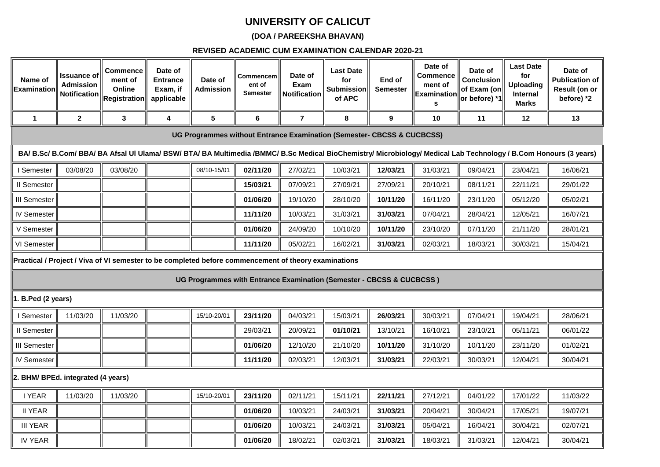# **UNIVERSITY OF CALICUT**

## **(DOA / PAREEKSHA BHAVAN)**

### **REVISED ACADEMIC CUM EXAMINATION CALENDAR 2020-21**

| Name of<br>Examinatior                                                                                                                            | <b>Issuance of</b><br><b>Admission</b><br><b>Notification</b> | Commence<br>ment of<br>Online<br><b>Registration</b> | Date of<br><b>Entrance</b><br>Exam, if<br>applicable | Date of<br>Admission | Commencem<br>ent of<br><b>Semester</b> | Date of<br>Exam<br><b>Notification</b> | <b>Last Date</b><br>for<br>Submission<br>of APC                        | End of<br><b>Semester</b> | Date of<br><b>Commence</b><br>ment of<br><b>Examination</b><br>s | Date of<br><b>Conclusion</b><br>of Exam (on<br>or before) *1 | <b>Last Date</b><br>for<br><b>Uploading</b><br>Internal<br>Marks | Date of<br><b>Publication of</b><br>Result (on or<br>before) *2                                                                                                   |
|---------------------------------------------------------------------------------------------------------------------------------------------------|---------------------------------------------------------------|------------------------------------------------------|------------------------------------------------------|----------------------|----------------------------------------|----------------------------------------|------------------------------------------------------------------------|---------------------------|------------------------------------------------------------------|--------------------------------------------------------------|------------------------------------------------------------------|-------------------------------------------------------------------------------------------------------------------------------------------------------------------|
| $\mathbf 1$                                                                                                                                       | $\mathbf{2}$                                                  | $\mathbf{3}$                                         | 4                                                    | 5                    | 6                                      | $\overline{\mathbf{r}}$                | 8                                                                      | 9                         | 10                                                               | 11                                                           | 12                                                               | 13                                                                                                                                                                |
|                                                                                                                                                   |                                                               |                                                      |                                                      |                      |                                        |                                        | UG Programmes without Entrance Examination (Semester- CBCSS & CUCBCSS) |                           |                                                                  |                                                              |                                                                  |                                                                                                                                                                   |
|                                                                                                                                                   |                                                               |                                                      |                                                      |                      |                                        |                                        |                                                                        |                           |                                                                  |                                                              |                                                                  | BA/ B.Sc/ B.Com/ BBA/ BA Afsal UI Ulama/ BSW/ BTA/ BA Multimedia /BMMC/ B.Sc Medical BioChemistry/ Microbiology/ Medical Lab Technology / B.Com Honours (3 years) |
| 03/08/20<br>03/08/20<br>08/10-15/01<br>02/11/20<br>27/02/21<br>12/03/21<br>31/03/21<br>09/04/21<br>I Semester<br>10/03/21<br>23/04/21<br>16/06/21 |                                                               |                                                      |                                                      |                      |                                        |                                        |                                                                        |                           |                                                                  |                                                              |                                                                  |                                                                                                                                                                   |
| II Semester                                                                                                                                       |                                                               |                                                      |                                                      |                      | 15/03/21                               | 07/09/21                               | 27/09/21                                                               | 27/09/21                  | 20/10/21                                                         | 08/11/21                                                     | 22/11/21                                                         | 29/01/22                                                                                                                                                          |
| <b>III Semester</b>                                                                                                                               |                                                               |                                                      |                                                      |                      | 01/06/20                               | 19/10/20                               | 28/10/20                                                               | 10/11/20                  | 16/11/20                                                         | 23/11/20                                                     | 05/12/20                                                         | 05/02/21                                                                                                                                                          |
| <b>IV Semester</b>                                                                                                                                |                                                               |                                                      |                                                      |                      | 11/11/20                               | 10/03/21                               | 31/03/21                                                               | 31/03/21                  | 07/04/21                                                         | 28/04/21                                                     | 12/05/21                                                         | 16/07/21                                                                                                                                                          |
| V Semester                                                                                                                                        |                                                               |                                                      |                                                      |                      | 01/06/20                               | 24/09/20                               | 10/10/20                                                               | 10/11/20                  | 23/10/20                                                         | 07/11/20                                                     | 21/11/20                                                         | 28/01/21                                                                                                                                                          |
| VI Semester                                                                                                                                       |                                                               |                                                      |                                                      |                      | 11/11/20                               | 05/02/21                               | 16/02/21                                                               | 31/03/21                  | 02/03/21                                                         | 18/03/21                                                     | 30/03/21                                                         | 15/04/21                                                                                                                                                          |
| Practical / Project / Viva of VI semester to be completed before commencement of theory examinations                                              |                                                               |                                                      |                                                      |                      |                                        |                                        |                                                                        |                           |                                                                  |                                                              |                                                                  |                                                                                                                                                                   |
|                                                                                                                                                   |                                                               |                                                      |                                                      |                      |                                        |                                        | UG Programmes with Entrance Examination (Semester - CBCSS & CUCBCSS)   |                           |                                                                  |                                                              |                                                                  |                                                                                                                                                                   |
| 1. B.Ped (2 years)                                                                                                                                |                                                               |                                                      |                                                      |                      |                                        |                                        |                                                                        |                           |                                                                  |                                                              |                                                                  |                                                                                                                                                                   |
| I Semester                                                                                                                                        | 11/03/20                                                      | 11/03/20                                             |                                                      | 15/10-20/01          | 23/11/20                               | 04/03/21                               | 15/03/21                                                               | 26/03/21                  | 30/03/21                                                         | 07/04/21                                                     | 19/04/21                                                         | 28/06/21                                                                                                                                                          |
| II Semester                                                                                                                                       |                                                               |                                                      |                                                      |                      | 29/03/21                               | 20/09/21                               | 01/10/21                                                               | 13/10/21                  | 16/10/21                                                         | 23/10/21                                                     | 05/11/21                                                         | 06/01/22                                                                                                                                                          |
| <b>III Semester</b>                                                                                                                               |                                                               |                                                      |                                                      |                      | 01/06/20                               | 12/10/20                               | 21/10/20                                                               | 10/11/20                  | 31/10/20                                                         | 10/11/20                                                     | 23/11/20                                                         | 01/02/21                                                                                                                                                          |
| <b>IV Semester</b>                                                                                                                                |                                                               |                                                      |                                                      |                      | 11/11/20                               | 02/03/21                               | 12/03/21                                                               | 31/03/21                  | 22/03/21                                                         | 30/03/21                                                     | 12/04/21                                                         | 30/04/21                                                                                                                                                          |
| 2. BHM/ BPEd. integrated (4 years)                                                                                                                |                                                               |                                                      |                                                      |                      |                                        |                                        |                                                                        |                           |                                                                  |                                                              |                                                                  |                                                                                                                                                                   |
| I YEAR                                                                                                                                            | 11/03/20                                                      | 11/03/20                                             |                                                      | 15/10-20/01          | 23/11/20                               | 02/11/21                               | 15/11/21                                                               | 22/11/21                  | 27/12/21                                                         | 04/01/22                                                     | 17/01/22                                                         | 11/03/22                                                                                                                                                          |
| <b>II YEAR</b>                                                                                                                                    |                                                               |                                                      |                                                      |                      | 01/06/20                               | 10/03/21                               | 24/03/21                                                               | 31/03/21                  | 20/04/21                                                         | 30/04/21                                                     | 17/05/21                                                         | 19/07/21                                                                                                                                                          |
| <b>III YEAR</b>                                                                                                                                   |                                                               |                                                      |                                                      |                      | 01/06/20                               | 10/03/21                               | 24/03/21                                                               | 31/03/21                  | 05/04/21                                                         | 16/04/21                                                     | 30/04/21                                                         | 02/07/21                                                                                                                                                          |
| <b>IV YEAR</b>                                                                                                                                    |                                                               |                                                      |                                                      |                      | 01/06/20                               | 18/02/21                               | 02/03/21                                                               | 31/03/21                  | 18/03/21                                                         | 31/03/21                                                     | 12/04/21                                                         | 30/04/21                                                                                                                                                          |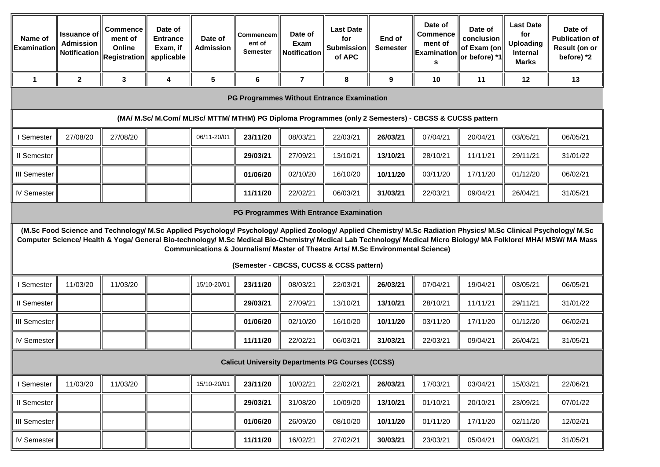| Name of<br><b>Examinatior</b> | <b>Issuance of</b><br><b>Admission</b>                                                                | Commence<br>ment of<br>Online<br>, Notification $\left\ _\mathsf{Registration}\right\ $ | Date of<br><b>Entrance</b><br>Exam, if<br>applicable | Date of<br><b>Admission</b> | Commencem  <br>ent of<br><b>Semester</b> | Date of<br>Exam<br><b>Notification</b> | <b>Last Date</b><br>for<br><b>Submission</b><br>of APC                                                                       | End of<br><b>Semester</b> | Date of<br><b>Commence</b><br>ment of<br>Examination<br>s | Date of<br>conclusion<br>of Exam (on<br>or before) *1 | <b>Last Date</b><br>for<br><b>Uploading</b><br>Internal<br>Marks | Date of<br><b>Publication of</b><br>Result (on or<br>before) *2                                                                                                                                                                                                                                                                          |
|-------------------------------|-------------------------------------------------------------------------------------------------------|-----------------------------------------------------------------------------------------|------------------------------------------------------|-----------------------------|------------------------------------------|----------------------------------------|------------------------------------------------------------------------------------------------------------------------------|---------------------------|-----------------------------------------------------------|-------------------------------------------------------|------------------------------------------------------------------|------------------------------------------------------------------------------------------------------------------------------------------------------------------------------------------------------------------------------------------------------------------------------------------------------------------------------------------|
| $\mathbf 1$                   | $\mathbf{2}$                                                                                          | 3                                                                                       | 4                                                    | 5                           | 6                                        | $\overline{7}$                         | 8                                                                                                                            | 9                         | 10                                                        | 11                                                    | 12                                                               | 13                                                                                                                                                                                                                                                                                                                                       |
|                               |                                                                                                       |                                                                                         |                                                      |                             |                                          |                                        | <b>PG Programmes Without Entrance Examination</b>                                                                            |                           |                                                           |                                                       |                                                                  |                                                                                                                                                                                                                                                                                                                                          |
|                               | (MA/ M.Sc/ M.Com/ MLISc/ MTTM/ MTHM) PG Diploma Programmes (only 2 Semesters) - CBCSS & CUCSS pattern |                                                                                         |                                                      |                             |                                          |                                        |                                                                                                                              |                           |                                                           |                                                       |                                                                  |                                                                                                                                                                                                                                                                                                                                          |
| I Semester                    | 27/08/20                                                                                              | 27/08/20                                                                                |                                                      | 06/11-20/01                 | 23/11/20                                 | 08/03/21                               | 22/03/21                                                                                                                     | 26/03/21                  | 07/04/21                                                  | 20/04/21                                              | 03/05/21                                                         | 06/05/21                                                                                                                                                                                                                                                                                                                                 |
| II Semester                   |                                                                                                       |                                                                                         |                                                      |                             | 29/03/21                                 | 27/09/21                               | 13/10/21                                                                                                                     | 13/10/21                  | 28/10/21                                                  | 11/11/21                                              | 29/11/21                                                         | 31/01/22                                                                                                                                                                                                                                                                                                                                 |
| <b>III Semester</b>           |                                                                                                       |                                                                                         |                                                      |                             | 01/06/20                                 | 02/10/20                               | 16/10/20                                                                                                                     | 10/11/20                  | 03/11/20                                                  | 17/11/20                                              | 01/12/20                                                         | 06/02/21                                                                                                                                                                                                                                                                                                                                 |
| <b>IV Semester</b>            |                                                                                                       |                                                                                         |                                                      |                             | 11/11/20                                 | 22/02/21                               | 06/03/21                                                                                                                     | 31/03/21                  | 22/03/21                                                  | 09/04/21                                              | 26/04/21                                                         | 31/05/21                                                                                                                                                                                                                                                                                                                                 |
|                               | PG Programmes With Entrance Examination                                                               |                                                                                         |                                                      |                             |                                          |                                        |                                                                                                                              |                           |                                                           |                                                       |                                                                  |                                                                                                                                                                                                                                                                                                                                          |
|                               |                                                                                                       |                                                                                         |                                                      |                             |                                          |                                        | Communications & Journalism/ Master of Theatre Arts/ M.Sc Environmental Science)<br>(Semester - CBCSS, CUCSS & CCSS pattern) |                           |                                                           |                                                       |                                                                  | (M.Sc Food Science and Technology/ M.Sc Applied Psychology/ Psychology/ Applied Zoology/ Applied Chemistry/ M.Sc Radiation Physics/ M.Sc Clinical Psychology/ M.Sc<br>Computer Science/ Health & Yoga/ General Bio-technology/ M.Sc Medical Bio-Chemistry/ Medical Lab Technology/ Medical Micro Biology/ MA Folklore/ MHA/ MSW/ MA Mass |
| Semester                      | 11/03/20                                                                                              | 11/03/20                                                                                |                                                      | 15/10-20/01                 | 23/11/20                                 | 08/03/21                               | 22/03/21                                                                                                                     | 26/03/21                  | 07/04/21                                                  | 19/04/21                                              | 03/05/21                                                         | 06/05/21                                                                                                                                                                                                                                                                                                                                 |
| II Semester                   |                                                                                                       |                                                                                         |                                                      |                             | 29/03/21                                 | 27/09/21                               | 13/10/21                                                                                                                     | 13/10/21                  | 28/10/21                                                  | 11/11/21                                              | 29/11/21                                                         | 31/01/22                                                                                                                                                                                                                                                                                                                                 |
| III Semester                  |                                                                                                       |                                                                                         |                                                      |                             | 01/06/20                                 | 02/10/20                               | 16/10/20                                                                                                                     | 10/11/20                  | 03/11/20                                                  | 17/11/20                                              | 01/12/20                                                         | 06/02/21                                                                                                                                                                                                                                                                                                                                 |
| <b>IV Semester</b>            |                                                                                                       |                                                                                         |                                                      |                             | 11/11/20                                 | 22/02/21                               | 06/03/21                                                                                                                     | 31/03/21                  | 22/03/21                                                  | 09/04/21                                              | 26/04/21                                                         | 31/05/21                                                                                                                                                                                                                                                                                                                                 |
|                               |                                                                                                       |                                                                                         |                                                      |                             |                                          |                                        | <b>Calicut University Departments PG Courses (CCSS)</b>                                                                      |                           |                                                           |                                                       |                                                                  |                                                                                                                                                                                                                                                                                                                                          |
| I Semester                    | 11/03/20                                                                                              | 11/03/20                                                                                |                                                      | 15/10-20/01                 | 23/11/20                                 | 10/02/21                               | 22/02/21                                                                                                                     | 26/03/21                  | 17/03/21                                                  | 03/04/21                                              | 15/03/21                                                         | 22/06/21                                                                                                                                                                                                                                                                                                                                 |
| II Semester                   |                                                                                                       |                                                                                         |                                                      |                             | 29/03/21                                 | 31/08/20                               | 10/09/20                                                                                                                     | 13/10/21                  | 01/10/21                                                  | 20/10/21                                              | 23/09/21                                                         | 07/01/22                                                                                                                                                                                                                                                                                                                                 |
| <b>III</b> Semester           |                                                                                                       |                                                                                         |                                                      |                             | 01/06/20                                 | 26/09/20                               | 08/10/20                                                                                                                     | 10/11/20                  | 01/11/20                                                  | 17/11/20                                              | 02/11/20                                                         | 12/02/21                                                                                                                                                                                                                                                                                                                                 |
| <b>IV Semester</b>            |                                                                                                       |                                                                                         |                                                      |                             | 11/11/20                                 | 16/02/21                               | 27/02/21                                                                                                                     | 30/03/21                  | 23/03/21                                                  | 05/04/21                                              | 09/03/21                                                         | 31/05/21                                                                                                                                                                                                                                                                                                                                 |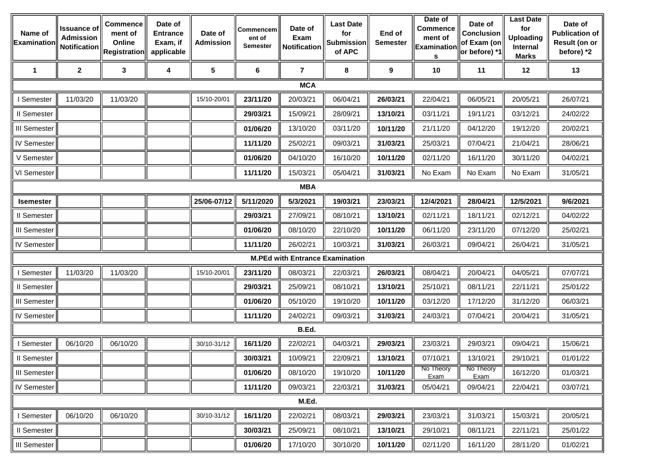| Name of<br>Examination | Issuance of<br><b>Admission</b> | Commence<br>ment of<br>Online<br>Notification $\Vert_{\mathsf{Registration}}$ | Date of<br><b>Entrance</b><br>Exam, if<br>applicable | Date of<br><b>Admission</b> | Commencem<br>ent of<br><b>Semester</b> | Date of<br><b>Exam</b><br><b>Notification</b> | <b>Last Date</b><br>for<br><b>Submission</b><br>of APC | End of<br><b>Semester</b> | Date of<br><b>Commence</b><br>ment of<br><b>Examination</b><br>s | Date of<br><b>Conclusion</b><br>of Exam (on<br>or before) *1 | <b>Last Date</b><br>for<br><b>Uploading</b><br>Internal<br><b>Marks</b> | Date of<br><b>Publication of</b><br>Result (on or<br>before) *2 |
|------------------------|---------------------------------|-------------------------------------------------------------------------------|------------------------------------------------------|-----------------------------|----------------------------------------|-----------------------------------------------|--------------------------------------------------------|---------------------------|------------------------------------------------------------------|--------------------------------------------------------------|-------------------------------------------------------------------------|-----------------------------------------------------------------|
| $\mathbf 1$            | $\boldsymbol{2}$                | 3                                                                             | 4                                                    | $5\phantom{.0}$             | 6                                      | $\overline{7}$                                | 8                                                      | 9                         | 10                                                               | 11                                                           | 12                                                                      | 13                                                              |
|                        |                                 |                                                                               |                                                      |                             |                                        | <b>MCA</b>                                    |                                                        |                           |                                                                  |                                                              |                                                                         |                                                                 |
| I Semester             | 11/03/20                        | 11/03/20                                                                      |                                                      | 15/10-20/01                 | 23/11/20                               | 20/03/21                                      | 06/04/21                                               | 26/03/21                  | 22/04/21                                                         | 06/05/21                                                     | 20/05/21                                                                | 26/07/21                                                        |
| II Semester            |                                 |                                                                               |                                                      |                             | 29/03/21                               | 15/09/21                                      | 28/09/21                                               | 13/10/21                  | 03/11/21                                                         | 19/11/21                                                     | 03/12/21                                                                | 24/02/22                                                        |
| <b>III Semester</b>    |                                 |                                                                               |                                                      |                             | 01/06/20                               | 13/10/20                                      | 03/11/20                                               | 10/11/20                  | 21/11/20                                                         | 04/12/20                                                     | 19/12/20                                                                | 20/02/21                                                        |
| IV Semester            |                                 |                                                                               |                                                      |                             | 11/11/20                               | 25/02/21                                      | 09/03/21                                               | 31/03/21                  | 25/03/21                                                         | 07/04/21                                                     | 21/04/21                                                                | 28/06/21                                                        |
| V Semester             |                                 |                                                                               |                                                      |                             | 01/06/20                               | 04/10/20                                      | 16/10/20                                               | 10/11/20                  | 02/11/20                                                         | 16/11/20                                                     | 30/11/20                                                                | 04/02/21                                                        |
| VI Semester            |                                 |                                                                               |                                                      |                             | 11/11/20                               | 15/03/21                                      | 05/04/21                                               | 31/03/21                  | No Exam                                                          | No Exam                                                      | No Exam                                                                 | 31/05/21                                                        |
|                        |                                 |                                                                               |                                                      |                             |                                        | <b>MBA</b>                                    |                                                        |                           |                                                                  |                                                              |                                                                         |                                                                 |
| <b>Isemester</b>       |                                 |                                                                               |                                                      | 25/06-07/12                 | 5/11/2020                              | 5/3/2021                                      | 19/03/21                                               | 23/03/21                  | 12/4/2021                                                        | 28/04/21                                                     | 12/5/2021                                                               | 9/6/2021                                                        |
| II Semester            |                                 |                                                                               |                                                      |                             | 29/03/21                               | 27/09/21                                      | 08/10/21                                               | 13/10/21                  | 02/11/21                                                         | 18/11/21                                                     | 02/12/21                                                                | 04/02/22                                                        |
| <b>III Semester</b>    |                                 |                                                                               |                                                      |                             | 01/06/20                               | 08/10/20                                      | 22/10/20                                               | 10/11/20                  | 06/11/20                                                         | 23/11/20                                                     | 07/12/20                                                                | 25/02/21                                                        |
| IV Semester            |                                 |                                                                               |                                                      |                             | 11/11/20                               | 26/02/21                                      | 10/03/21                                               | 31/03/21                  | 26/03/21                                                         | 09/04/21                                                     | 26/04/21                                                                | 31/05/21                                                        |
|                        |                                 |                                                                               |                                                      |                             |                                        | <b>M.PEd with Entrance Examination</b>        |                                                        |                           |                                                                  |                                                              |                                                                         |                                                                 |
| I Semester             | 11/03/20                        | 11/03/20                                                                      |                                                      | 15/10-20/01                 | 23/11/20                               | 08/03/21                                      | 22/03/21                                               | 26/03/21                  | 08/04/21                                                         | 20/04/21                                                     | 04/05/21                                                                | 07/07/21                                                        |
| Il Semester            |                                 |                                                                               |                                                      |                             | 29/03/21                               | 25/09/21                                      | 08/10/21                                               | 13/10/21                  | 25/10/21                                                         | 08/11/21                                                     | 22/11/21                                                                | 25/01/22                                                        |
| <b>III Semester</b>    |                                 |                                                                               |                                                      |                             | 01/06/20                               | 05/10/20                                      | 19/10/20                                               | 10/11/20                  | 03/12/20                                                         | 17/12/20                                                     | 31/12/20                                                                | 06/03/21                                                        |
| <b>IV Semester</b>     |                                 |                                                                               |                                                      |                             | 11/11/20                               | 24/02/21                                      | 09/03/21                                               | 31/03/21                  | 24/03/21                                                         | 07/04/21                                                     | 20/04/21                                                                | 31/05/21                                                        |
|                        |                                 |                                                                               |                                                      |                             |                                        | B.Ed.                                         |                                                        |                           |                                                                  |                                                              |                                                                         |                                                                 |
| I Semester             | 06/10/20                        | 06/10/20                                                                      |                                                      | 30/10-31/12                 | 16/11/20                               | 22/02/21                                      | 04/03/21                                               | 29/03/21                  | 23/03/21                                                         | 29/03/21                                                     | 09/04/21                                                                | 15/06/21                                                        |
| II Semester            |                                 |                                                                               |                                                      |                             | 30/03/21                               | 10/09/21                                      | 22/09/21                                               | 13/10/21                  | 07/10/21                                                         | 13/10/21                                                     | 29/10/21                                                                | 01/01/22                                                        |
| <b>III Semester</b>    |                                 |                                                                               |                                                      |                             | 01/06/20                               | 08/10/20                                      | 19/10/20                                               | 10/11/20                  | No Theory<br>Exam                                                | No Theory<br><b>Exam</b>                                     | 16/12/20                                                                | 01/03/21                                                        |
| <b>IV Semester</b>     |                                 |                                                                               |                                                      |                             | 11/11/20                               | 09/03/21                                      | 22/03/21                                               | 31/03/21                  | 05/04/21                                                         | 09/04/21                                                     | 22/04/21                                                                | 03/07/21                                                        |
|                        |                                 |                                                                               |                                                      |                             |                                        | M.Ed.                                         |                                                        |                           |                                                                  |                                                              |                                                                         |                                                                 |
| I Semester             | 06/10/20                        | 06/10/20                                                                      |                                                      | 30/10-31/12                 | 16/11/20                               | 22/02/21                                      | 08/03/21                                               | 29/03/21                  | 23/03/21                                                         | 31/03/21                                                     | 15/03/21                                                                | 20/05/21                                                        |
| II Semester            |                                 |                                                                               |                                                      |                             | 30/03/21                               | 25/09/21                                      | 08/10/21                                               | 13/10/21                  | 29/10/21                                                         | 08/11/21                                                     | 22/11/21                                                                | 25/01/22                                                        |
| <b>III Semester</b>    |                                 |                                                                               |                                                      |                             | 01/06/20                               | 17/10/20                                      | 30/10/20                                               | 10/11/20                  | 02/11/20                                                         | 16/11/20                                                     | 28/11/20                                                                | 01/02/21                                                        |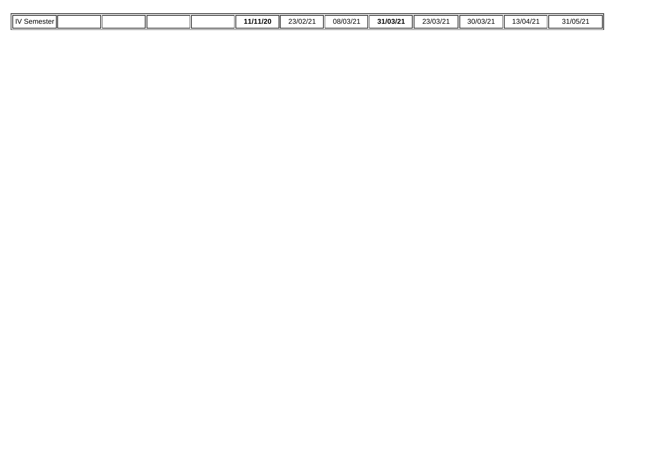| $\mathbf{u}$<br>Semester II |  |  | 11/11/20 | 23/02/21 | 08/03/21 | 31/03/21 | 23/03/2 | 30/03/2 | 13/04/2 | 31/05/2<br><u>ے ،ں ری</u> |
|-----------------------------|--|--|----------|----------|----------|----------|---------|---------|---------|---------------------------|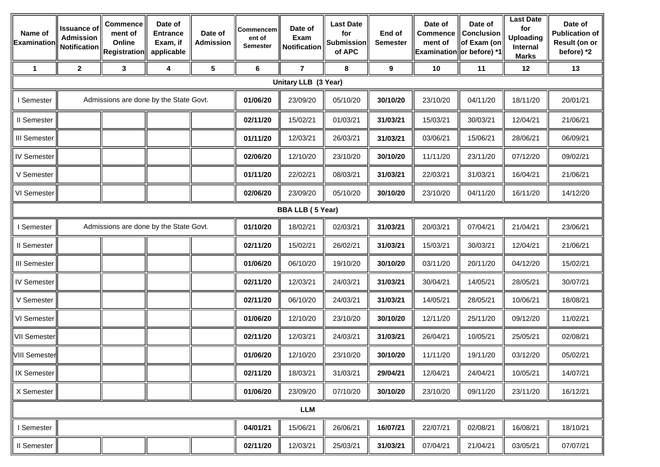| Name of<br>Examination | <b>Issuance of</b><br><b>Admission</b> | Commence<br>ment of<br>Online<br>Notification Registration | Date of<br><b>Entrance</b><br>Exam, if<br>applicable | Date of<br><b>Admission</b> | Commencem<br>ent of<br><b>Semester</b> | Date of<br>Exam<br>Notification | <b>Last Date</b><br>for<br><b>Submission</b><br>of APC | End of<br><b>Semester</b> | Date of<br><b>Commence</b><br>ment of | Date of<br>Conclusion<br>of Exam (on<br>Examination or before) *1 | <b>Last Date</b><br>for<br><b>Uploading</b><br>Internal<br><b>Marks</b> | Date of<br><b>Publication of</b><br>Result (on or<br>before) *2 |
|------------------------|----------------------------------------|------------------------------------------------------------|------------------------------------------------------|-----------------------------|----------------------------------------|---------------------------------|--------------------------------------------------------|---------------------------|---------------------------------------|-------------------------------------------------------------------|-------------------------------------------------------------------------|-----------------------------------------------------------------|
| $\mathbf 1$            | $\mathbf 2$                            | 3                                                          | 4                                                    | $5\phantom{.0}$             | 6                                      | $\overline{7}$                  | 8                                                      | 9                         | 10                                    | 11                                                                | 12                                                                      | 13                                                              |
|                        |                                        |                                                            |                                                      |                             |                                        | Unitary LLB (3 Year)            |                                                        |                           |                                       |                                                                   |                                                                         |                                                                 |
| <b>Semester</b>        |                                        | Admissions are done by the State Govt.                     |                                                      |                             | 01/06/20                               | 23/09/20                        | 05/10/20                                               | 30/10/20                  | 23/10/20                              | 04/11/20                                                          | 18/11/20                                                                | 20/01/21                                                        |
| II Semester            |                                        |                                                            |                                                      |                             | 02/11/20                               | 15/02/21                        | 01/03/21                                               | 31/03/21                  | 15/03/21                              | 30/03/21                                                          | 12/04/21                                                                | 21/06/21                                                        |
| <b>III Semester</b>    |                                        |                                                            |                                                      |                             | 01/11/20                               | 12/03/21                        | 26/03/21                                               | 31/03/21                  | 03/06/21                              | 15/06/21                                                          | 28/06/21                                                                | 06/09/21                                                        |
| <b>IV Semester</b>     |                                        |                                                            |                                                      |                             | 02/06/20                               | 12/10/20                        | 23/10/20                                               | 30/10/20                  | 11/11/20                              | 23/11/20                                                          | 07/12/20                                                                | 09/02/21                                                        |
| V Semester             |                                        |                                                            |                                                      |                             | 01/11/20                               | 22/02/21                        | 08/03/21                                               | 31/03/21                  | 22/03/21                              | 31/03/21                                                          | 16/04/21                                                                | 21/06/21                                                        |
| VI Semester            |                                        |                                                            |                                                      |                             | 02/06/20                               | 23/09/20                        | 05/10/20                                               | 30/10/20                  | 23/10/20                              | 04/11/20                                                          | 16/11/20                                                                | 14/12/20                                                        |
|                        |                                        |                                                            |                                                      |                             |                                        | <b>BBA LLB (5 Year)</b>         |                                                        |                           |                                       |                                                                   |                                                                         |                                                                 |
| I Semester             |                                        | Admissions are done by the State Govt.                     |                                                      |                             | 01/10/20                               | 18/02/21                        | 02/03/21                                               | 31/03/21                  | 20/03/21                              | 07/04/21                                                          | 21/04/21                                                                | 23/06/21                                                        |
| II Semester            |                                        |                                                            |                                                      |                             | 02/11/20                               | 15/02/21                        | 26/02/21                                               | 31/03/21                  | 15/03/21                              | 30/03/21                                                          | 12/04/21                                                                | 21/06/21                                                        |
| <b>III Semester</b>    |                                        |                                                            |                                                      |                             | 01/06/20                               | 06/10/20                        | 19/10/20                                               | 30/10/20                  | 03/11/20                              | 20/11/20                                                          | 04/12/20                                                                | 15/02/21                                                        |
| <b>IV Semester</b>     |                                        |                                                            |                                                      |                             | 02/11/20                               | 12/03/21                        | 24/03/21                                               | 31/03/21                  | 30/04/21                              | 14/05/21                                                          | 28/05/21                                                                | 30/07/21                                                        |
| V Semester             |                                        |                                                            |                                                      |                             | 02/11/20                               | 06/10/20                        | 24/03/21                                               | 31/03/21                  | 14/05/21                              | 28/05/21                                                          | 10/06/21                                                                | 18/08/21                                                        |
| VI Semester            |                                        |                                                            |                                                      |                             | 01/06/20                               | 12/10/20                        | 23/10/20                                               | 30/10/20                  | 12/11/20                              | 25/11/20                                                          | 09/12/20                                                                | 11/02/21                                                        |
| <b>VII Semester</b>    |                                        |                                                            |                                                      |                             | 02/11/20                               | 12/03/21                        | 24/03/21                                               | 31/03/21                  | 26/04/21                              | 10/05/21                                                          | 25/05/21                                                                | 02/08/21                                                        |
| <b>VIII Semester</b>   |                                        |                                                            |                                                      |                             | 01/06/20                               | 12/10/20                        | 23/10/20                                               | 30/10/20                  | 11/11/20                              | 19/11/20                                                          | 03/12/20                                                                | 05/02/21                                                        |
| IX Semester            |                                        |                                                            |                                                      |                             | 02/11/20                               | 18/03/21                        | 31/03/21                                               | 29/04/21                  | 12/04/21                              | 24/04/21                                                          | 10/05/21                                                                | 14/07/21                                                        |
| X Semester             |                                        |                                                            |                                                      |                             | 01/06/20                               | 23/09/20                        | 07/10/20                                               | 30/10/20                  | 23/10/20                              | 09/11/20                                                          | 23/11/20                                                                | 16/12/21                                                        |
|                        |                                        |                                                            |                                                      |                             |                                        | <b>LLM</b>                      |                                                        |                           |                                       |                                                                   |                                                                         |                                                                 |
| I Semester             |                                        |                                                            |                                                      |                             | 04/01/21                               | 15/06/21                        | 26/06/21                                               | 16/07/21                  | 22/07/21                              | 02/08/21                                                          | 16/08/21                                                                | 18/10/21                                                        |
| Il Semester            |                                        |                                                            |                                                      |                             | 02/11/20                               | 12/03/21                        | 25/03/21                                               | 31/03/21                  | 07/04/21                              | 21/04/21                                                          | 03/05/21                                                                | 07/07/21                                                        |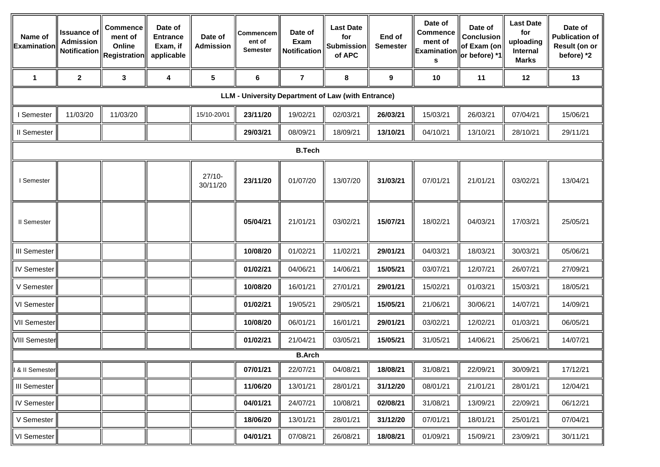| Name of<br>Examination | <b>Issuance of</b><br><b>Admission</b><br>Notification | Commence<br>ment of<br>Online<br><b>Registration</b> | Date of<br><b>Entrance</b><br>Exam, if<br>applicable | Date of<br><b>Admission</b> | Commencem<br>ent of<br><b>Semester</b> | Date of<br>Exam<br>Notification | <b>Last Date</b><br>for<br><b>Submission</b><br>of APC | End of<br><b>Semester</b> | Date of<br><b>Commence</b><br>ment of<br><b>Examination</b><br>s | Date of<br><b>Conclusion</b><br>of Exam (on<br>or before) *1 | <b>Last Date</b><br>for<br>uploading<br>Internal<br><b>Marks</b> | Date of<br><b>Publication of</b><br>Result (on or<br>before) *2 |
|------------------------|--------------------------------------------------------|------------------------------------------------------|------------------------------------------------------|-----------------------------|----------------------------------------|---------------------------------|--------------------------------------------------------|---------------------------|------------------------------------------------------------------|--------------------------------------------------------------|------------------------------------------------------------------|-----------------------------------------------------------------|
| $\mathbf 1$            | $\boldsymbol{2}$                                       | $\mathbf{3}$                                         | 4                                                    | $5\phantom{.0}$             | 6                                      | $\overline{7}$                  | 8                                                      | $\boldsymbol{9}$          | 10                                                               | 11                                                           | 12                                                               | 13                                                              |
|                        |                                                        |                                                      |                                                      |                             |                                        |                                 | LLM - University Department of Law (with Entrance)     |                           |                                                                  |                                                              |                                                                  |                                                                 |
| I Semester             | 11/03/20                                               | 11/03/20                                             |                                                      | 15/10-20/01                 | 23/11/20                               | 19/02/21                        | 02/03/21                                               | 26/03/21                  | 15/03/21                                                         | 26/03/21                                                     | 07/04/21                                                         | 15/06/21                                                        |
| II Semester            |                                                        |                                                      |                                                      |                             | 29/03/21                               | 08/09/21                        | 18/09/21                                               | 13/10/21                  | 04/10/21                                                         | 13/10/21                                                     | 28/10/21                                                         | 29/11/21                                                        |
|                        |                                                        |                                                      |                                                      |                             |                                        | <b>B.Tech</b>                   |                                                        |                           |                                                                  |                                                              |                                                                  |                                                                 |
| I Semester             |                                                        |                                                      |                                                      | $27/10-$<br>30/11/20        | 23/11/20                               | 01/07/20                        | 13/07/20                                               | 31/03/21                  | 07/01/21                                                         | 21/01/21                                                     | 03/02/21                                                         | 13/04/21                                                        |
| II Semester            |                                                        |                                                      |                                                      |                             | 05/04/21                               | 21/01/21                        | 03/02/21                                               | 15/07/21                  | 18/02/21                                                         | 04/03/21                                                     | 17/03/21                                                         | 25/05/21                                                        |
| <b>III Semester</b>    |                                                        |                                                      |                                                      |                             | 10/08/20                               | 01/02/21                        | 11/02/21                                               | 29/01/21                  | 04/03/21                                                         | 18/03/21                                                     | 30/03/21                                                         | 05/06/21                                                        |
| IV Semester            |                                                        |                                                      |                                                      |                             | 01/02/21                               | 04/06/21                        | 14/06/21                                               | 15/05/21                  | 03/07/21                                                         | 12/07/21                                                     | 26/07/21                                                         | 27/09/21                                                        |
| V Semester             |                                                        |                                                      |                                                      |                             | 10/08/20                               | 16/01/21                        | 27/01/21                                               | 29/01/21                  | 15/02/21                                                         | 01/03/21                                                     | 15/03/21                                                         | 18/05/21                                                        |
| VI Semester            |                                                        |                                                      |                                                      |                             | 01/02/21                               | 19/05/21                        | 29/05/21                                               | 15/05/21                  | 21/06/21                                                         | 30/06/21                                                     | 14/07/21                                                         | 14/09/21                                                        |
| <b>VII Semester</b>    |                                                        |                                                      |                                                      |                             | 10/08/20                               | 06/01/21                        | 16/01/21                                               | 29/01/21                  | 03/02/21                                                         | 12/02/21                                                     | 01/03/21                                                         | 06/05/21                                                        |
| <b>VIII Semester</b>   |                                                        |                                                      |                                                      |                             | 01/02/21                               | 21/04/21                        | 03/05/21                                               | 15/05/21                  | 31/05/21                                                         | 14/06/21                                                     | 25/06/21                                                         | 14/07/21                                                        |
|                        |                                                        |                                                      |                                                      |                             |                                        | <b>B.Arch</b>                   |                                                        |                           |                                                                  |                                                              |                                                                  |                                                                 |
| & II Semester          |                                                        |                                                      |                                                      |                             | 07/01/21                               | 22/07/21                        | 04/08/21                                               | 18/08/21                  | 31/08/21                                                         | 22/09/21                                                     | 30/09/21                                                         | 17/12/21                                                        |
| III Semester           |                                                        |                                                      |                                                      |                             | 11/06/20                               | 13/01/21                        | 28/01/21                                               | 31/12/20                  | 08/01/21                                                         | 21/01/21                                                     | 28/01/21                                                         | 12/04/21                                                        |
| IV Semester            |                                                        |                                                      |                                                      |                             | 04/01/21                               | 24/07/21                        | 10/08/21                                               | 02/08/21                  | 31/08/21                                                         | 13/09/21                                                     | 22/09/21                                                         | 06/12/21                                                        |
| V Semester             |                                                        |                                                      |                                                      |                             | 18/06/20                               | 13/01/21                        | 28/01/21                                               | 31/12/20                  | 07/01/21                                                         | 18/01/21                                                     | 25/01/21                                                         | 07/04/21                                                        |
| VI Semester            |                                                        |                                                      |                                                      |                             | 04/01/21                               | 07/08/21                        | 26/08/21                                               | 18/08/21                  | 01/09/21                                                         | 15/09/21                                                     | 23/09/21                                                         | 30/11/21                                                        |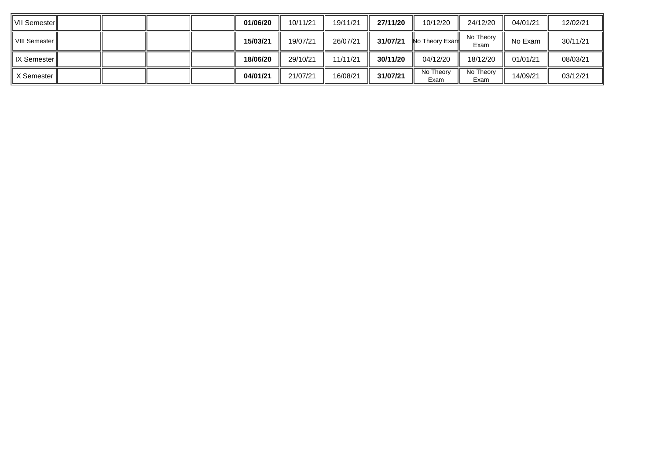| IVII Semester <b>ii</b> |  |  | 01/06/20 | 10/11/21 | 19/11/21 | 27/11/20 | 10/12/20               | 24/12/20          | 04/01/21 | 12/02/21 |
|-------------------------|--|--|----------|----------|----------|----------|------------------------|-------------------|----------|----------|
| VIII Semester II        |  |  | 15/03/21 | 19/07/21 | 26/07/21 | 31/07/21 | <b>No Theory Exand</b> | No Theory<br>Exam | No Exam  | 30/11/21 |
| <b>IX Semester</b>      |  |  | 18/06/20 | 29/10/21 | 11/11/21 | 30/11/20 | 04/12/20               | 18/12/20          | 01/01/21 | 08/03/21 |
| X Semester I            |  |  | 04/01/21 | 21/07/21 | 16/08/21 | 31/07/21 | No Theory<br>Exam      | No Theory<br>Exam | 14/09/21 | 03/12/21 |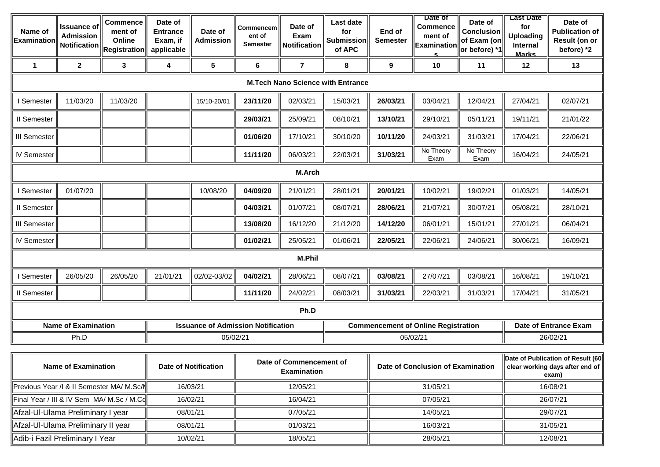| Name of<br><b>Examinatior</b> | <b>Issuance of</b><br><b>Admission</b><br><b>Notification</b> | <b>Commence</b><br>ment of<br>Online<br>$\ $ Registration $\ $ | Date of<br><b>Entrance</b><br>Exam, if<br>applicable | Date of<br><b>Admission</b> | Commencem<br>ent of<br>Semester           | Date of<br>Exam<br><b>Notification</b>        | Last date<br>for<br><b>Submission</b><br>of APC | End of<br><b>Semester</b> | Date of<br><b>Commence</b><br>ment of<br>Examination<br><u>s</u> | Date of<br><b>Conclusion</b><br>of Exam (on<br>or before) *1 | <b>Last Date</b><br>for<br><b>Uploading</b><br>Internal<br><b>Marks</b> | Date of<br><b>Publication of</b><br>Result (on or<br>before) *2               |
|-------------------------------|---------------------------------------------------------------|----------------------------------------------------------------|------------------------------------------------------|-----------------------------|-------------------------------------------|-----------------------------------------------|-------------------------------------------------|---------------------------|------------------------------------------------------------------|--------------------------------------------------------------|-------------------------------------------------------------------------|-------------------------------------------------------------------------------|
| $\mathbf 1$                   | $\mathbf{2}$                                                  | 3                                                              | 4                                                    | $5\phantom{.0}$             | 6                                         | $\overline{7}$                                | 8                                               | 9                         | 10                                                               | 11                                                           | 12                                                                      | 13                                                                            |
|                               |                                                               |                                                                |                                                      |                             |                                           |                                               | <b>M.Tech Nano Science with Entrance</b>        |                           |                                                                  |                                                              |                                                                         |                                                                               |
| I Semester                    | 11/03/20                                                      | 11/03/20                                                       |                                                      | 15/10-20/01                 | 23/11/20                                  | 02/03/21                                      | 15/03/21                                        | 26/03/21                  | 03/04/21                                                         | 12/04/21                                                     | 27/04/21                                                                | 02/07/21                                                                      |
| II Semester                   |                                                               |                                                                |                                                      |                             | 29/03/21                                  | 25/09/21                                      | 08/10/21                                        | 13/10/21                  | 29/10/21                                                         | 05/11/21                                                     | 19/11/21                                                                | 21/01/22                                                                      |
| III Semester                  |                                                               |                                                                |                                                      |                             | 01/06/20                                  | 17/10/21                                      | 30/10/20                                        | 10/11/20                  | 24/03/21                                                         | 31/03/21                                                     | 17/04/21                                                                | 22/06/21                                                                      |
| IV Semester                   |                                                               |                                                                |                                                      |                             | 11/11/20                                  | 06/03/21                                      | 22/03/21                                        | 31/03/21                  | No Theory<br>Exam                                                | No Theory<br>Exam                                            | 16/04/21                                                                | 24/05/21                                                                      |
|                               |                                                               |                                                                |                                                      |                             |                                           | M.Arch                                        |                                                 |                           |                                                                  |                                                              |                                                                         |                                                                               |
| I Semester                    | 01/07/20                                                      |                                                                |                                                      | 10/08/20                    | 04/09/20                                  | 21/01/21                                      | 28/01/21                                        | 20/01/21                  | 10/02/21                                                         | 19/02/21                                                     | 01/03/21                                                                | 14/05/21                                                                      |
| II Semester                   |                                                               |                                                                |                                                      |                             | 04/03/21                                  | 01/07/21                                      | 08/07/21                                        | 28/06/21                  | 21/07/21                                                         | 30/07/21                                                     | 05/08/21                                                                | 28/10/21                                                                      |
| <b>III Semester</b>           |                                                               |                                                                |                                                      |                             | 13/08/20                                  | 16/12/20                                      | 21/12/20                                        | 14/12/20                  | 06/01/21                                                         | 15/01/21                                                     | 27/01/21                                                                | 06/04/21                                                                      |
| IV Semester                   |                                                               |                                                                |                                                      |                             | 01/02/21                                  | 25/05/21                                      | 01/06/21                                        | 22/05/21                  | 22/06/21                                                         | 24/06/21                                                     | 30/06/21                                                                | 16/09/21                                                                      |
|                               |                                                               |                                                                |                                                      |                             |                                           | M.Phil                                        |                                                 |                           |                                                                  |                                                              |                                                                         |                                                                               |
| I Semester                    | 26/05/20                                                      | 26/05/20                                                       | 21/01/21                                             | 02/02-03/02                 | 04/02/21                                  | 28/06/21                                      | 08/07/21                                        | 03/08/21                  | 27/07/21                                                         | 03/08/21                                                     | 16/08/21                                                                | 19/10/21                                                                      |
| II Semester                   |                                                               |                                                                |                                                      |                             | 11/11/20                                  | 24/02/21                                      | 08/03/21                                        | 31/03/21                  | 22/03/21                                                         | 31/03/21                                                     | 17/04/21                                                                | 31/05/21                                                                      |
|                               |                                                               |                                                                |                                                      |                             |                                           | Ph.D                                          |                                                 |                           |                                                                  |                                                              |                                                                         |                                                                               |
|                               | <b>Name of Examination</b>                                    |                                                                |                                                      |                             | <b>Issuance of Admission Notification</b> |                                               |                                                 |                           | <b>Commencement of Online Registration</b>                       |                                                              |                                                                         | Date of Entrance Exam                                                         |
|                               | Ph.D                                                          |                                                                |                                                      | 05/02/21                    |                                           |                                               |                                                 |                           | 05/02/21                                                         |                                                              |                                                                         | 26/02/21                                                                      |
|                               | <b>Name of Examination</b>                                    |                                                                |                                                      | <b>Date of Notification</b> |                                           | Date of Commencement of<br><b>Examination</b> |                                                 |                           | Date of Conclusion of Examination                                |                                                              |                                                                         | Date of Publication of Result (60<br>clear working days after end of<br>exam) |
|                               |                                                               | Previous Year /l & II Semester MA/ M.Sc/N                      |                                                      | 16/03/21                    |                                           | 12/05/21                                      |                                                 |                           | 31/05/21                                                         | 16/08/21                                                     |                                                                         |                                                                               |
|                               |                                                               | Final Year / III & IV Sem MA/ M.Sc / M.Cd                      |                                                      | 16/02/21                    |                                           | 16/04/21                                      |                                                 |                           | 07/05/21                                                         |                                                              | 26/07/21                                                                |                                                                               |
|                               | Afzal-Ul-Ulama Preliminary I year                             |                                                                |                                                      | 08/01/21                    |                                           | 07/05/21                                      |                                                 |                           | 14/05/21                                                         |                                                              |                                                                         | 29/07/21                                                                      |
|                               | Afzal-Ul-Ulama Preliminary II year                            |                                                                |                                                      | 08/01/21                    |                                           | 01/03/21                                      |                                                 |                           | 16/03/21                                                         |                                                              |                                                                         | 31/05/21                                                                      |
|                               | Adib-i Fazil Preliminary I Year                               |                                                                |                                                      | 10/02/21                    |                                           | 18/05/21                                      |                                                 |                           | 28/05/21                                                         |                                                              |                                                                         | 12/08/21                                                                      |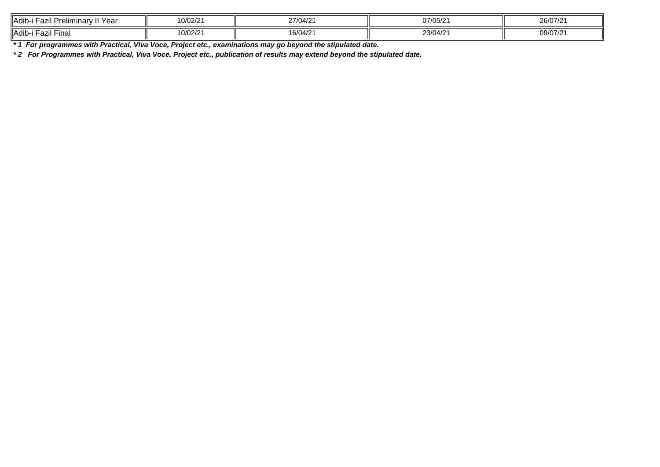| .<br><b>I</b> Adib-<br>Yea<br>lımınarv II<br>∽azıı Prel∟ | 100/21<br>$\sim$<br>0/02/2     | $\sim$ $\sim$<br>$\overline{10}$<br>'770472 | 07/05/2                             | 26/07/2 |
|----------------------------------------------------------|--------------------------------|---------------------------------------------|-------------------------------------|---------|
| <b>I</b> Adib-<br>Final<br>⊦azıı                         | $\sqrt{2}$<br>$\sim$<br>U/U2/2 | $\sim$<br>$\overline{1}$<br>16/U4<br>T/L    | 22/04<br>$\overline{10}$<br>23/04/2 | 09/07/2 |

*\* 1 For programmes with Practical, Viva Voce, Project etc., examinations may go beyond the stipulated date.*

*\* 2 For Programmes with Practical, Viva Voce, Project etc., publication of results may extend beyond the stipulated date.*